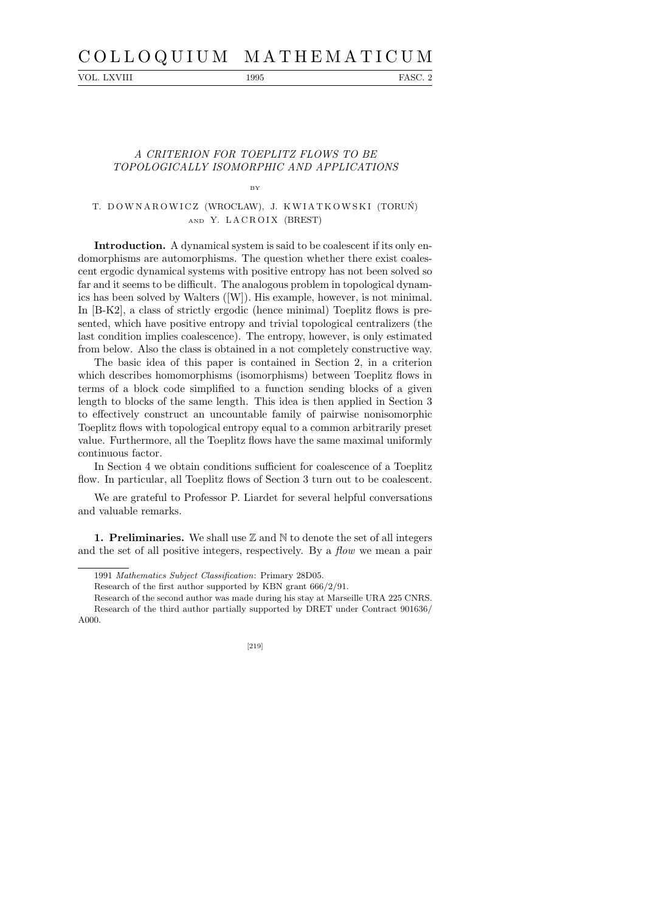# C O L L O Q U I U M M A T H E M A T I C U M

VOL. LXVIII 1995 FASC. 2

## A CRITERION FOR TOEPLITZ FLOWS TO BE TOPOLOGICALLY ISOMORPHIC AND APPLICATIONS

#### BY

### T. DOWNAROWICZ (WROCŁAW), J. KWIATKOWSKI (TORUŃ) AND Y. LACROIX (BREST)

Introduction. A dynamical system is said to be coalescent if its only endomorphisms are automorphisms. The question whether there exist coalescent ergodic dynamical systems with positive entropy has not been solved so far and it seems to be difficult. The analogous problem in topological dynamics has been solved by Walters ([W]). His example, however, is not minimal. In [B-K2], a class of strictly ergodic (hence minimal) Toeplitz flows is presented, which have positive entropy and trivial topological centralizers (the last condition implies coalescence). The entropy, however, is only estimated from below. Also the class is obtained in a not completely constructive way.

The basic idea of this paper is contained in Section 2, in a criterion which describes homomorphisms (isomorphisms) between Toeplitz flows in terms of a block code simplified to a function sending blocks of a given length to blocks of the same length. This idea is then applied in Section 3 to effectively construct an uncountable family of pairwise nonisomorphic Toeplitz flows with topological entropy equal to a common arbitrarily preset value. Furthermore, all the Toeplitz flows have the same maximal uniformly continuous factor.

In Section 4 we obtain conditions sufficient for coalescence of a Toeplitz flow. In particular, all Toeplitz flows of Section 3 turn out to be coalescent.

We are grateful to Professor P. Liardet for several helpful conversations and valuable remarks.

1. Preliminaries. We shall use  $\mathbb Z$  and  $\mathbb N$  to denote the set of all integers and the set of all positive integers, respectively. By a *flow* we mean a pair

Research of the second author was made during his stay at Marseille URA 225 CNRS. Research of the third author partially supported by DRET under Contract 901636/ A000.

[219]

<sup>1991</sup> *Mathematics Subject Classification*: Primary 28D05.

Research of the first author supported by KBN grant 666/2/91.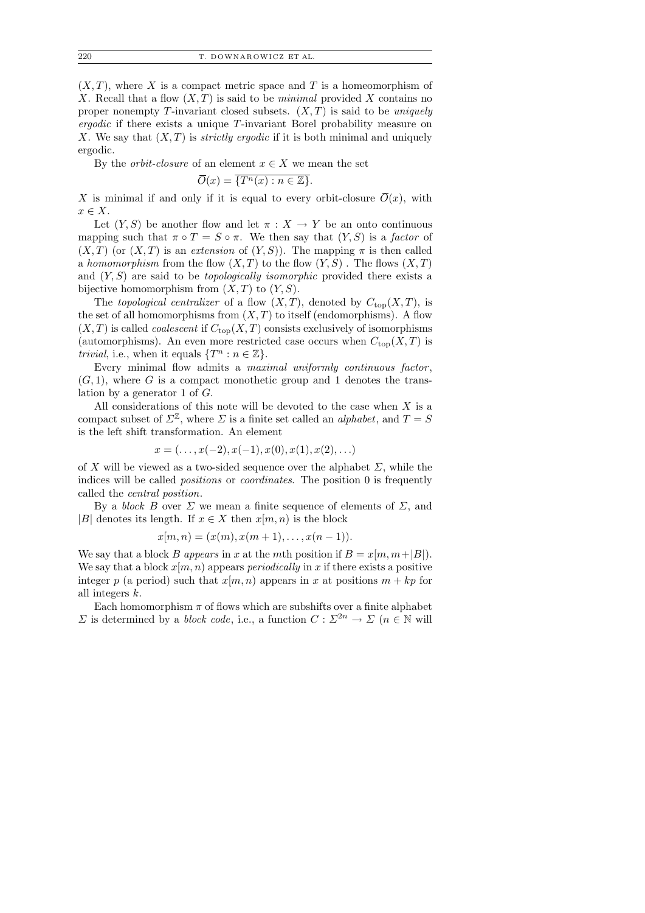$(X, T)$ , where X is a compact metric space and T is a homeomorphism of X. Recall that a flow  $(X, T)$  is said to be *minimal* provided X contains no proper nonempty T-invariant closed subsets.  $(X, T)$  is said to be *uniquely* ergodic if there exists a unique T-invariant Borel probability measure on X. We say that  $(X, T)$  is *strictly ergodic* if it is both minimal and uniquely ergodic.

By the *orbit-closure* of an element  $x \in X$  we mean the set

$$
\overline{O}(x) = \overline{\{T^n(x) : n \in \mathbb{Z}\}}.
$$

X is minimal if and only if it is equal to every orbit-closure  $\overline{O}(x)$ , with  $x \in X$ .

Let  $(Y, S)$  be another flow and let  $\pi : X \to Y$  be an onto continuous mapping such that  $\pi \circ T = S \circ \pi$ . We then say that  $(Y, S)$  is a *factor* of  $(X, T)$  (or  $(X, T)$  is an extension of  $(Y, S)$ ). The mapping  $\pi$  is then called a homomorphism from the flow  $(X, T)$  to the flow  $(Y, S)$ . The flows  $(X, T)$ and  $(Y, S)$  are said to be *topologically isomorphic* provided there exists a bijective homomorphism from  $(X, T)$  to  $(Y, S)$ .

The topological centralizer of a flow  $(X, T)$ , denoted by  $C_{top}(X, T)$ , is the set of all homomorphisms from  $(X, T)$  to itself (endomorphisms). A flow  $(X, T)$  is called *coalescent* if  $C_{top}(X, T)$  consists exclusively of isomorphisms (automorphisms). An even more restricted case occurs when  $C_{top}(X,T)$  is *trivial*, i.e., when it equals  $\{T^n : n \in \mathbb{Z}\}.$ 

Every minimal flow admits a maximal uniformly continuous factor,  $(G, 1)$ , where G is a compact monothetic group and 1 denotes the translation by a generator 1 of G.

All considerations of this note will be devoted to the case when  $X$  is a compact subset of  $\Sigma^{\mathbb{Z}}$ , where  $\Sigma$  is a finite set called an *alphabet*, and  $T = S$ is the left shift transformation. An element

$$
x = (\ldots, x(-2), x(-1), x(0), x(1), x(2), \ldots)
$$

of X will be viewed as a two-sided sequence over the alphabet  $\Sigma$ , while the indices will be called positions or coordinates. The position 0 is frequently called the central position.

By a *block B* over  $\Sigma$  we mean a finite sequence of elements of  $\Sigma$ , and |B| denotes its length. If  $x \in X$  then  $x(m, n)$  is the block

$$
x[m, n) = (x(m), x(m + 1), \dots, x(n - 1)).
$$

We say that a block B appears in x at the mth position if  $B = x[m, m+|B|)$ . We say that a block  $x[m, n]$  appears *periodically* in x if there exists a positive integer p (a period) such that  $x[m, n)$  appears in x at positions  $m + kp$  for all integers k.

Each homomorphism  $\pi$  of flows which are subshifts over a finite alphabet  $\Sigma$  is determined by a *block code*, i.e., a function  $C: \Sigma^{2n} \to \Sigma$  ( $n \in \mathbb{N}$  will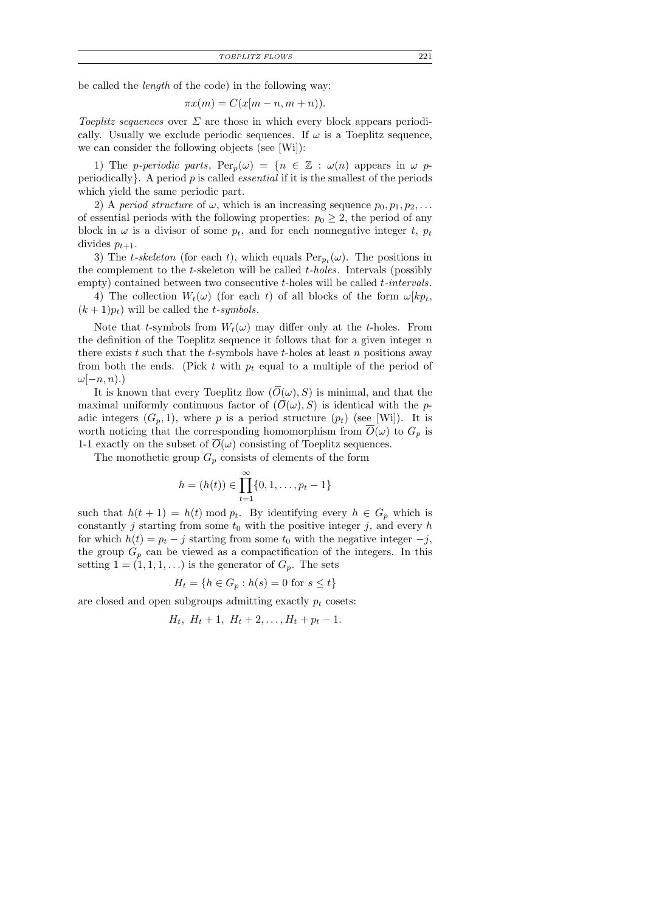be called the length of the code) in the following way:

$$
\pi x(m) = C(x[m - n, m + n)).
$$

Toeplitz sequences over  $\Sigma$  are those in which every block appears periodically. Usually we exclude periodic sequences. If  $\omega$  is a Toeplitz sequence, we can consider the following objects (see [Wi]):

1) The p-periodic parts,  $\text{Per}_p(\omega) = \{n \in \mathbb{Z} : \omega(n) \text{ appears in } \omega \text{ p-}$ periodically  $\}$ . A period p is called *essential* if it is the smallest of the periods which yield the same periodic part.

2) A period structure of  $\omega$ , which is an increasing sequence  $p_0, p_1, p_2, \ldots$ of essential periods with the following properties:  $p_0 \geq 2$ , the period of any block in  $\omega$  is a divisor of some  $p_t$ , and for each nonnegative integer t,  $p_t$ divides  $p_{t+1}$ .

3) The t-skeleton (for each t), which equals  $Per_{p_t}(\omega)$ . The positions in the complement to the  $t$ -skeleton will be called  $t$ -holes. Intervals (possibly empty) contained between two consecutive t-holes will be called t-intervals.

4) The collection  $W_t(\omega)$  (for each t) of all blocks of the form  $\omega [kp_t,$  $(k+1)p_t$ ) will be called the *t*-symbols.

Note that t-symbols from  $W_t(\omega)$  may differ only at the t-holes. From the definition of the Toeplitz sequence it follows that for a given integer  $n$ there exists t such that the t-symbols have t-holes at least n positions away from both the ends. (Pick t with  $p_t$  equal to a multiple of the period of  $\omega[-n, n)$ .)

It is known that every Toeplitz flow  $(\overline{O}(\omega), S)$  is minimal, and that the maximal uniformly continuous factor of  $(\overline{O}(\omega), S)$  is identical with the padic integers  $(G_p, 1)$ , where p is a period structure  $(p_t)$  (see [Wi]). It is worth noticing that the corresponding homomorphism from  $O(\omega)$  to  $G_p$  is 1-1 exactly on the subset of  $\overline{O}(\omega)$  consisting of Toeplitz sequences.

The monothetic group  $G_p$  consists of elements of the form

$$
h = (h(t)) \in \prod_{t=1}^{\infty} \{0, 1, \dots, p_t - 1\}
$$

such that  $h(t + 1) = h(t) \mod p_t$ . By identifying every  $h \in G_p$  which is constantly j starting from some  $t_0$  with the positive integer j, and every h for which  $h(t) = p_t - j$  starting from some  $t_0$  with the negative integer  $-j$ , the group  $G_p$  can be viewed as a compactification of the integers. In this setting  $1 = (1, 1, 1, ...)$  is the generator of  $G_p$ . The sets

$$
H_t = \{ h \in G_p : h(s) = 0 \text{ for } s \le t \}
$$

are closed and open subgroups admitting exactly  $p_t$  cosets:

$$
H_t
$$
,  $H_t + 1$ ,  $H_t + 2$ ,...,  $H_t + p_t - 1$ .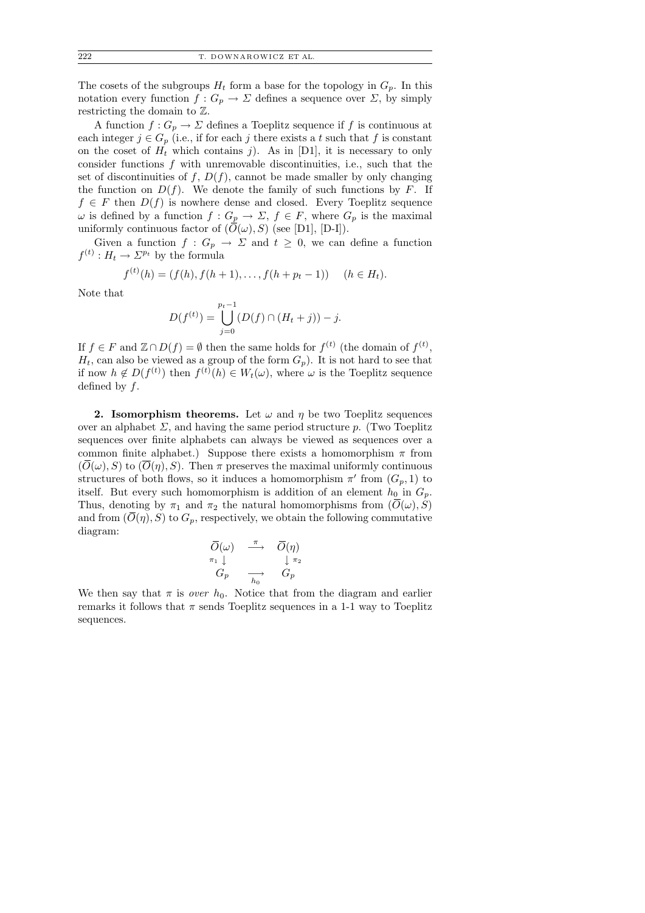The cosets of the subgroups  $H_t$  form a base for the topology in  $G_p$ . In this notation every function  $f: G_p \to \Sigma$  defines a sequence over  $\Sigma$ , by simply restricting the domain to Z.

A function  $f: G_p \to \Sigma$  defines a Toeplitz sequence if f is continuous at each integer  $j \in G_p$  (i.e., if for each j there exists a t such that f is constant on the coset of  $H_t$  which contains j). As in [D1], it is necessary to only consider functions  $f$  with unremovable discontinuities, i.e., such that the set of discontinuities of f,  $D(f)$ , cannot be made smaller by only changing the function on  $D(f)$ . We denote the family of such functions by F. If  $f \in F$  then  $D(f)$  is nowhere dense and closed. Every Toeplitz sequence  $\omega$  is defined by a function  $f: G_p \to \Sigma$ ,  $f \in F$ , where  $G_p$  is the maximal uniformly continuous factor of  $(\overline{O}(\omega), S)$  (see [D1], [D-I]).

Given a function  $f: G_p \to \Sigma$  and  $t \geq 0$ , we can define a function  $f^{(t)}: H_t \to \Sigma^{p_t}$  by the formula

$$
f^{(t)}(h) = (f(h), f(h+1), \dots, f(h+p_t-1)) \quad (h \in H_t).
$$

Note that

$$
D(f^{(t)}) = \bigcup_{j=0}^{p_t-1} (D(f) \cap (H_t + j)) - j.
$$

If  $f \in F$  and  $\mathbb{Z} \cap D(f) = \emptyset$  then the same holds for  $f^{(t)}$  (the domain of  $f^{(t)}$ ),  $H_t$ , can also be viewed as a group of the form  $G_p$ ). It is not hard to see that if now  $h \notin D(f^{(t)})$  then  $f^{(t)}(h) \in W_t(\omega)$ , where  $\omega$  is the Toeplitz sequence defined by  $f$ .

2. Isomorphism theorems. Let  $\omega$  and  $\eta$  be two Toeplitz sequences over an alphabet  $\Sigma$ , and having the same period structure p. (Two Toeplitz sequences over finite alphabets can always be viewed as sequences over a common finite alphabet.) Suppose there exists a homomorphism  $\pi$  from  $(\overline{O}(\omega), S)$  to  $(\overline{O}(\eta), S)$ . Then  $\pi$  preserves the maximal uniformly continuous structures of both flows, so it induces a homomorphism  $\pi'$  from  $(G_p, 1)$  to itself. But every such homomorphism is addition of an element  $h_0$  in  $G_p$ . Thus, denoting by  $\pi_1$  and  $\pi_2$  the natural homomorphisms from  $(\overline{O}(\omega), S)$ and from  $(\overline{O}(\eta), S)$  to  $G_p$ , respectively, we obtain the following commutative diagram:

$$
\begin{array}{ccc}\n\overline{O}(\omega) & \xrightarrow{\pi} & \overline{O}(\eta) \\
\pi_1 \downarrow & & \downarrow \pi_2 \\
G_p & \xrightarrow[h_0] & G_p\n\end{array}
$$

We then say that  $\pi$  is *over*  $h_0$ . Notice that from the diagram and earlier remarks it follows that  $\pi$  sends Toeplitz sequences in a 1-1 way to Toeplitz sequences.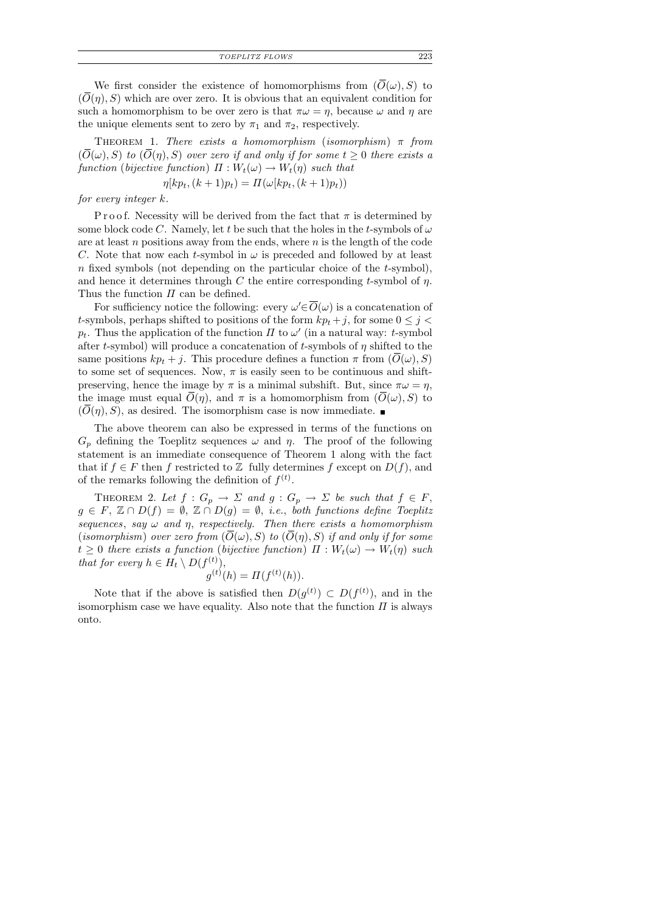*TOEPLITZ FLOWS* 223

We first consider the existence of homomorphisms from  $(\overline{O}(\omega), S)$  to  $(\overline{O}(\eta), S)$  which are over zero. It is obvious that an equivalent condition for such a homomorphism to be over zero is that  $\pi\omega = \eta$ , because  $\omega$  and  $\eta$  are the unique elements sent to zero by  $\pi_1$  and  $\pi_2$ , respectively.

THEOREM 1. There exists a homomorphism (isomorphism)  $\pi$  from  $(\overline{O}(\omega), S)$  to  $(\overline{O}(\eta), S)$  over zero if and only if for some  $t \geq 0$  there exists a function (bijective function)  $\Pi: W_t(\omega) \to W_t(\eta)$  such that

 $\eta[kp_t, (k+1)p_t) = \Pi(\omega[kp_t, (k+1)p_t))$ 

for every integer k.

P r o o f. Necessity will be derived from the fact that  $\pi$  is determined by some block code C. Namely, let t be such that the holes in the t-symbols of  $\omega$ are at least  $n$  positions away from the ends, where  $n$  is the length of the code C. Note that now each t-symbol in  $\omega$  is preceded and followed by at least n fixed symbols (not depending on the particular choice of the  $t$ -symbol), and hence it determines through C the entire corresponding t-symbol of  $\eta$ . Thus the function  $\Pi$  can be defined.

For sufficiency notice the following: every  $\omega' \in \overline{O}(\omega)$  is a concatenation of t-symbols, perhaps shifted to positions of the form  $kp_t + j$ , for some  $0 \leq j <$  $p_t$ . Thus the application of the function  $\Pi$  to  $\omega'$  (in a natural way: t-symbol after t-symbol) will produce a concatenation of t-symbols of  $\eta$  shifted to the same positions  $kp_t + j$ . This procedure defines a function  $\pi$  from  $(\overline{O}(\omega), S)$ to some set of sequences. Now,  $\pi$  is easily seen to be continuous and shiftpreserving, hence the image by  $\pi$  is a minimal subshift. But, since  $\pi\omega = \eta$ , the image must equal  $\overline{O}(\eta)$ , and  $\pi$  is a homomorphism from  $(\overline{O}(\omega), S)$  to  $(\overline{O}(n), S)$ , as desired. The isomorphism case is now immediate.

The above theorem can also be expressed in terms of the functions on  $G_p$  defining the Toeplitz sequences  $\omega$  and  $\eta$ . The proof of the following statement is an immediate consequence of Theorem 1 along with the fact that if  $f \in F$  then f restricted to Z fully determines f except on  $D(f)$ , and of the remarks following the definition of  $f^{(t)}$ .

THEOREM 2. Let  $f: G_p \to \Sigma$  and  $g: G_p \to \Sigma$  be such that  $f \in F$ ,  $g \in F$ ,  $\mathbb{Z} \cap D(f) = \emptyset$ ,  $\mathbb{Z} \cap D(g) = \emptyset$ , *i.e.*, both functions define Toeplitz sequences, say  $\omega$  and  $\eta$ , respectively. Then there exists a homomorphism (isomorphism) over zero from  $(\overline{O}(\omega), S)$  to  $(\overline{O}(\eta), S)$  if and only if for some  $t \geq 0$  there exists a function (bijective function)  $\Pi : W_t(\omega) \to W_t(\eta)$  such that for every  $h \in H_t \setminus D(f^{(t)}),$ 

$$
g^{(t)}(h) = \Pi(f^{(t)}(h)).
$$

Note that if the above is satisfied then  $D(g^{(t)}) \subset D(f^{(t)})$ , and in the isomorphism case we have equality. Also note that the function  $\Pi$  is always onto.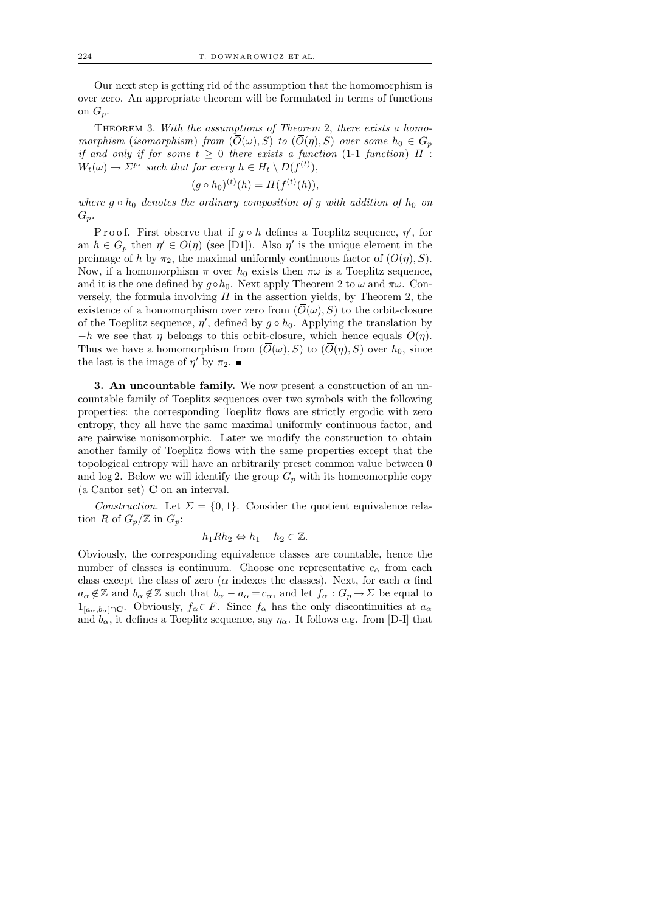Our next step is getting rid of the assumption that the homomorphism is over zero. An appropriate theorem will be formulated in terms of functions on  $G_p$ .

Theorem 3. With the assumptions of Theorem 2, there exists a homomorphism (isomorphism) from  $(\overline{O}(\omega), S)$  to  $(\overline{O}(\eta), S)$  over some  $h_0 \in G_p$ if and only if for some  $t \geq 0$  there exists a function (1-1 function)  $\Pi$ :  $W_t(\omega) \to \Sigma^{p_t}$  such that for every  $h \in H_t \setminus D(f^{(t)}),$ 

$$
(g \circ h_0)^{(t)}(h) = \Pi(f^{(t)}(h)),
$$

where  $g \circ h_0$  denotes the ordinary composition of g with addition of  $h_0$  on  $G_p$ .

Proof. First observe that if  $g \circ h$  defines a Toeplitz sequence,  $\eta'$ , for an  $h \in G_p$  then  $\eta' \in \overline{O}(\eta)$  (see [D1]). Also  $\eta'$  is the unique element in the preimage of h by  $\pi_2$ , the maximal uniformly continuous factor of  $(\overline{O}(\eta), S)$ . Now, if a homomorphism  $\pi$  over  $h_0$  exists then  $\pi\omega$  is a Toeplitz sequence, and it is the one defined by  $g \circ h_0$ . Next apply Theorem 2 to  $\omega$  and  $\pi \omega$ . Conversely, the formula involving  $\Pi$  in the assertion yields, by Theorem 2, the existence of a homomorphism over zero from  $(O(\omega), S)$  to the orbit-closure of the Toeplitz sequence,  $\eta'$ , defined by  $g \circ h_0$ . Applying the translation by  $-h$  we see that  $\eta$  belongs to this orbit-closure, which hence equals  $\overline{O}(\eta)$ . Thus we have a homomorphism from  $(\overline{O}(\omega), S)$  to  $(\overline{O}(\eta), S)$  over  $h_0$ , since the last is the image of  $\eta'$  by  $\pi_2$ .

3. An uncountable family. We now present a construction of an uncountable family of Toeplitz sequences over two symbols with the following properties: the corresponding Toeplitz flows are strictly ergodic with zero entropy, they all have the same maximal uniformly continuous factor, and are pairwise nonisomorphic. Later we modify the construction to obtain another family of Toeplitz flows with the same properties except that the topological entropy will have an arbitrarily preset common value between 0 and  $\log 2$ . Below we will identify the group  $G_p$  with its homeomorphic copy (a Cantor set) C on an interval.

Construction. Let  $\Sigma = \{0,1\}$ . Consider the quotient equivalence relation R of  $G_p/\mathbb{Z}$  in  $G_p$ :

$$
h_1Rh_2 \Leftrightarrow h_1 - h_2 \in \mathbb{Z}.
$$

Obviously, the corresponding equivalence classes are countable, hence the number of classes is continuum. Choose one representative  $c_{\alpha}$  from each class except the class of zero ( $\alpha$  indexes the classes). Next, for each  $\alpha$  find  $a_{\alpha} \notin \mathbb{Z}$  and  $b_{\alpha} \notin \mathbb{Z}$  such that  $b_{\alpha} - a_{\alpha} = c_{\alpha}$ , and let  $f_{\alpha} : G_p \to \Sigma$  be equal to  $1_{[a_\alpha,b_\alpha]\cap\mathbf{C}}$ . Obviously,  $f_\alpha \in F$ . Since  $f_\alpha$  has the only discontinuities at  $a_\alpha$ and  $b_{\alpha}$ , it defines a Toeplitz sequence, say  $\eta_{\alpha}$ . It follows e.g. from [D-I] that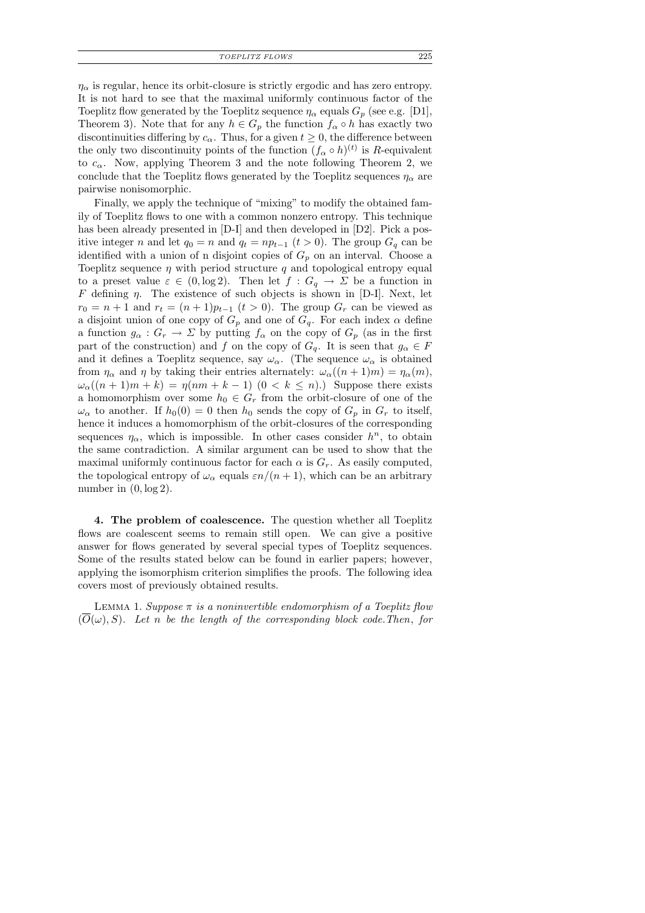*TOEPLITZ FLOWS* 225

 $\eta_{\alpha}$  is regular, hence its orbit-closure is strictly ergodic and has zero entropy. It is not hard to see that the maximal uniformly continuous factor of the Toeplitz flow generated by the Toeplitz sequence  $\eta_{\alpha}$  equals  $G_p$  (see e.g. [D1], Theorem 3). Note that for any  $h \in G_p$  the function  $f_\alpha \circ h$  has exactly two discontinuities differing by  $c_{\alpha}$ . Thus, for a given  $t \geq 0$ , the difference between the only two discontinuity points of the function  $(f_{\alpha} \circ h)^{(t)}$  is R-equivalent to  $c_{\alpha}$ . Now, applying Theorem 3 and the note following Theorem 2, we conclude that the Toeplitz flows generated by the Toeplitz sequences  $\eta_{\alpha}$  are pairwise nonisomorphic.

Finally, we apply the technique of "mixing" to modify the obtained family of Toeplitz flows to one with a common nonzero entropy. This technique has been already presented in [D-I] and then developed in [D2]. Pick a positive integer n and let  $q_0 = n$  and  $q_t = np_{t-1}$   $(t > 0)$ . The group  $G_q$  can be identified with a union of n disjoint copies of  $G_p$  on an interval. Choose a Toeplitz sequence  $\eta$  with period structure  $q$  and topological entropy equal to a preset value  $\varepsilon \in (0, \log 2)$ . Then let  $f : G_q \to \Sigma$  be a function in F defining  $\eta$ . The existence of such objects is shown in [D-I]. Next, let  $r_0 = n + 1$  and  $r_t = (n + 1)p_{t-1}$   $(t > 0)$ . The group  $G_r$  can be viewed as a disjoint union of one copy of  $G_p$  and one of  $G_q$ . For each index  $\alpha$  define a function  $g_{\alpha}: G_r \to \Sigma$  by putting  $f_{\alpha}$  on the copy of  $G_p$  (as in the first part of the construction) and f on the copy of  $G_q$ . It is seen that  $g_\alpha \in F$ and it defines a Toeplitz sequence, say  $\omega_{\alpha}$ . (The sequence  $\omega_{\alpha}$  is obtained from  $\eta_{\alpha}$  and  $\eta$  by taking their entries alternately:  $\omega_{\alpha}((n+1)m) = \eta_{\alpha}(m)$ ,  $\omega_{\alpha}((n+1)m+k) = \eta(nm+k-1)$   $(0 < k \leq n)$ . Suppose there exists a homomorphism over some  $h_0 \in G_r$  from the orbit-closure of one of the  $\omega_{\alpha}$  to another. If  $h_0(0) = 0$  then  $h_0$  sends the copy of  $G_p$  in  $G_r$  to itself, hence it induces a homomorphism of the orbit-closures of the corresponding sequences  $\eta_{\alpha}$ , which is impossible. In other cases consider  $h^{n}$ , to obtain the same contradiction. A similar argument can be used to show that the maximal uniformly continuous factor for each  $\alpha$  is  $G_r$ . As easily computed, the topological entropy of  $\omega_{\alpha}$  equals  $\varepsilon n/(n+1)$ , which can be an arbitrary number in  $(0, \log 2)$ .

4. The problem of coalescence. The question whether all Toeplitz flows are coalescent seems to remain still open. We can give a positive answer for flows generated by several special types of Toeplitz sequences. Some of the results stated below can be found in earlier papers; however, applying the isomorphism criterion simplifies the proofs. The following idea covers most of previously obtained results.

LEMMA 1. Suppose  $\pi$  is a noninvertible endomorphism of a Toeplitz flow  $(O(\omega), S)$ . Let n be the length of the corresponding block code. Then, for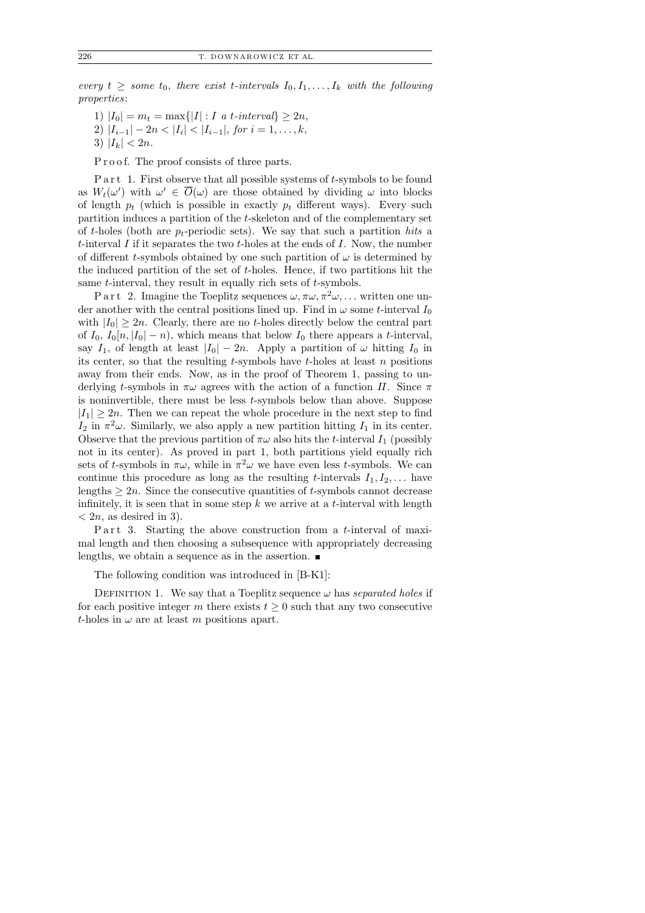every  $t \geq$  some  $t_0$ , there exist t-intervals  $I_0, I_1, \ldots, I_k$  with the following properties:

- 1)  $|I_0| = m_t = \max\{|I| : I \text{ a } t\text{-interval}\} \geq 2n,$
- 2)  $|I_{i-1}|-2n<|I_i|<|I_{i-1}|$ , for  $i=1,\ldots,k$ ,
- 3)  $|I_k| < 2n$ .

P r o o f. The proof consists of three parts.

P a r t 1. First observe that all possible systems of  $t$ -symbols to be found as  $W_t(\omega')$  with  $\omega' \in \overline{O}(\omega)$  are those obtained by dividing  $\omega$  into blocks of length  $p_t$  (which is possible in exactly  $p_t$  different ways). Every such partition induces a partition of the t-skeleton and of the complementary set of t-holes (both are  $p_t$ -periodic sets). We say that such a partition hits a t-interval  $I$  if it separates the two  $t$ -holes at the ends of  $I$ . Now, the number of different t-symbols obtained by one such partition of  $\omega$  is determined by the induced partition of the set of t-holes. Hence, if two partitions hit the same t-interval, they result in equally rich sets of t-symbols.

P a r t 2. Imagine the Toeplitz sequences  $\omega, \pi \omega, \pi^2 \omega, \ldots$  written one under another with the central positions lined up. Find in  $\omega$  some t-interval  $I_0$ with  $|I_0| \geq 2n$ . Clearly, there are no t-holes directly below the central part of  $I_0$ ,  $I_0[n, |I_0| - n)$ , which means that below  $I_0$  there appears a t-interval, say  $I_1$ , of length at least  $|I_0| - 2n$ . Apply a partition of  $\omega$  hitting  $I_0$  in its center, so that the resulting  $t$ -symbols have  $t$ -holes at least  $n$  positions away from their ends. Now, as in the proof of Theorem 1, passing to underlying t-symbols in  $\pi\omega$  agrees with the action of a function  $\Pi$ . Since  $\pi$ is noninvertible, there must be less t-symbols below than above. Suppose  $|I_1| \geq 2n$ . Then we can repeat the whole procedure in the next step to find  $I_2$  in  $\pi^2\omega$ . Similarly, we also apply a new partition hitting  $I_1$  in its center. Observe that the previous partition of  $\pi\omega$  also hits the *t*-interval  $I_1$  (possibly not in its center). As proved in part 1, both partitions yield equally rich sets of t-symbols in  $\pi\omega$ , while in  $\pi^2\omega$  we have even less t-symbols. We can continue this procedure as long as the resulting t-intervals  $I_1, I_2, \ldots$  have lengths  $\geq 2n$ . Since the consecutive quantities of t-symbols cannot decrease infinitely, it is seen that in some step  $k$  we arrive at a  $t$ -interval with length  $\langle 2n, \text{ as desired in 3} \rangle$ .

P a r t 3. Starting the above construction from a t-interval of maximal length and then choosing a subsequence with appropriately decreasing lengths, we obtain a sequence as in the assertion.  $\blacksquare$ 

The following condition was introduced in [B-K1]:

DEFINITION 1. We say that a Toeplitz sequence  $\omega$  has separated holes if for each positive integer m there exists  $t \geq 0$  such that any two consecutive t-holes in  $\omega$  are at least m positions apart.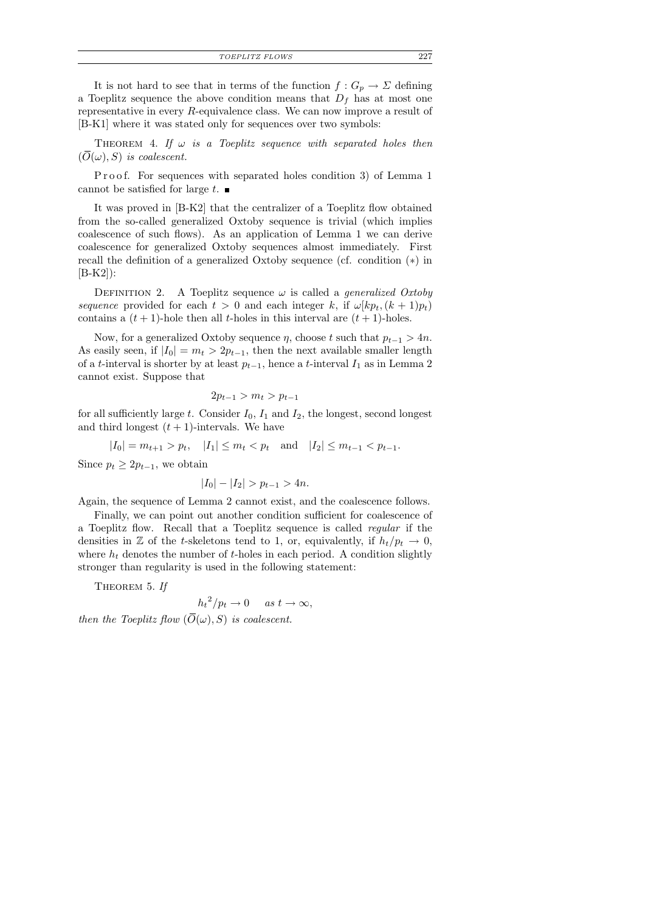*TOEPLITZ FLOWS* 227

It is not hard to see that in terms of the function  $f: G_p \to \Sigma$  defining a Toeplitz sequence the above condition means that  $D_f$  has at most one representative in every R-equivalence class. We can now improve a result of [B-K1] where it was stated only for sequences over two symbols:

THEOREM 4. If  $\omega$  is a Toeplitz sequence with separated holes then  $(O(\omega), S)$  is coalescent.

P r o o f. For sequences with separated holes condition 3) of Lemma 1 cannot be satisfied for large  $t$ .

It was proved in [B-K2] that the centralizer of a Toeplitz flow obtained from the so-called generalized Oxtoby sequence is trivial (which implies coalescence of such flows). As an application of Lemma 1 we can derive coalescence for generalized Oxtoby sequences almost immediately. First recall the definition of a generalized Oxtoby sequence (cf. condition (∗) in [B-K2]):

DEFINITION 2. A Toeplitz sequence  $\omega$  is called a *generalized Oxtoby* sequence provided for each  $t > 0$  and each integer k, if  $\omega[kp_t, (k+1)p_t]$ contains a  $(t + 1)$ -hole then all *t*-holes in this interval are  $(t + 1)$ -holes.

Now, for a generalized Oxtoby sequence  $\eta$ , choose t such that  $p_{t-1} > 4n$ . As easily seen, if  $|I_0| = m_t > 2p_{t-1}$ , then the next available smaller length of a t-interval is shorter by at least  $p_{t-1}$ , hence a t-interval  $I_1$  as in Lemma 2 cannot exist. Suppose that

$$
2p_{t-1} > m_t > p_{t-1}
$$

for all sufficiently large t. Consider  $I_0$ ,  $I_1$  and  $I_2$ , the longest, second longest and third longest  $(t + 1)$ -intervals. We have

$$
|I_0| = m_{t+1} > p_t, \quad |I_1| \le m_t < p_t \quad \text{and} \quad |I_2| \le m_{t-1} < p_{t-1}.
$$

Since  $p_t \geq 2p_{t-1}$ , we obtain

$$
|I_0| - |I_2| > p_{t-1} > 4n.
$$

Again, the sequence of Lemma 2 cannot exist, and the coalescence follows.

Finally, we can point out another condition sufficient for coalescence of a Toeplitz flow. Recall that a Toeplitz sequence is called regular if the densities in Z of the t-skeletons tend to 1, or, equivalently, if  $h_t/p_t \to 0$ , where  $h_t$  denotes the number of t-holes in each period. A condition slightly stronger than regularity is used in the following statement:

THEOREM 5. If

$$
h_t^2/p_t \to 0 \quad \text{as } t \to \infty,
$$

then the Toeplitz flow  $(\overline{O}(\omega), S)$  is coalescent.